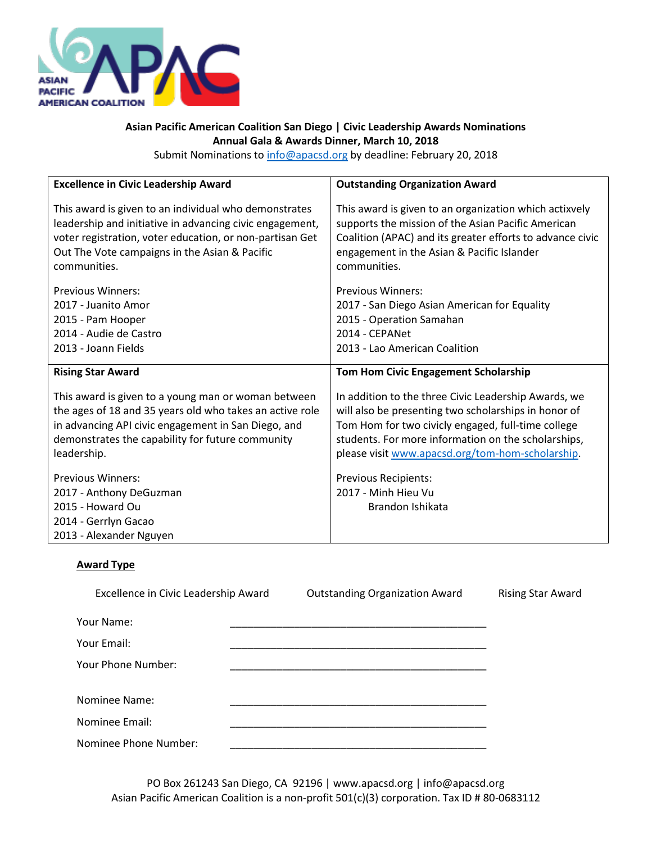

## **Asian Pacific American Coalition San Diego | Civic Leadership Awards Nominations Annual Gala & Awards Dinner, March 10, 2018**

Submit Nominations t[o info@apacsd.org](mailto:info@apacsd.org) by deadline: February 20, 2018

| <b>Excellence in Civic Leadership Award</b>                                                                                | <b>Outstanding Organization Award</b>                           |
|----------------------------------------------------------------------------------------------------------------------------|-----------------------------------------------------------------|
| This award is given to an individual who demonstrates                                                                      | This award is given to an organization which actixvely          |
| leadership and initiative in advancing civic engagement,                                                                   | supports the mission of the Asian Pacific American              |
| voter registration, voter education, or non-partisan Get                                                                   | Coalition (APAC) and its greater efforts to advance civic       |
| Out The Vote campaigns in the Asian & Pacific                                                                              | engagement in the Asian & Pacific Islander                      |
| communities.                                                                                                               | communities.                                                    |
| <b>Previous Winners:</b>                                                                                                   | <b>Previous Winners:</b>                                        |
| 2017 - Juanito Amor                                                                                                        | 2017 - San Diego Asian American for Equality                    |
| 2015 - Pam Hooper                                                                                                          | 2015 - Operation Samahan                                        |
| 2014 - Audie de Castro                                                                                                     | 2014 - CEPANet                                                  |
| 2013 - Joann Fields                                                                                                        | 2013 - Lao American Coalition                                   |
| <b>Rising Star Award</b>                                                                                                   | <b>Tom Hom Civic Engagement Scholarship</b>                     |
| This award is given to a young man or woman between                                                                        | In addition to the three Civic Leadership Awards, we            |
| the ages of 18 and 35 years old who takes an active role                                                                   | will also be presenting two scholarships in honor of            |
| in advancing API civic engagement in San Diego, and                                                                        | Tom Hom for two civicly engaged, full-time college              |
| demonstrates the capability for future community                                                                           | students. For more information on the scholarships,             |
| leadership.                                                                                                                | please visit www.apacsd.org/tom-hom-scholarship.                |
| <b>Previous Winners:</b><br>2017 - Anthony DeGuzman<br>2015 - Howard Ou<br>2014 - Gerrlyn Gacao<br>2013 - Alexander Nguyen | Previous Recipients:<br>2017 - Minh Hieu Vu<br>Brandon Ishikata |

## **Award Type**

| Excellence in Civic Leadership Award | <b>Outstanding Organization Award</b> | <b>Rising Star Award</b> |
|--------------------------------------|---------------------------------------|--------------------------|
| Your Name:                           |                                       |                          |
| Your Email:                          |                                       |                          |
| Your Phone Number:                   |                                       |                          |
|                                      |                                       |                          |
| Nominee Name:                        |                                       |                          |
| Nominee Email:                       |                                       |                          |
| Nominee Phone Number:                |                                       |                          |

PO Box 261243 San Diego, CA 92196 | www.apacsd.org | info@apacsd.org Asian Pacific American Coalition is a non-profit 501(c)(3) corporation. Tax ID # 80-0683112